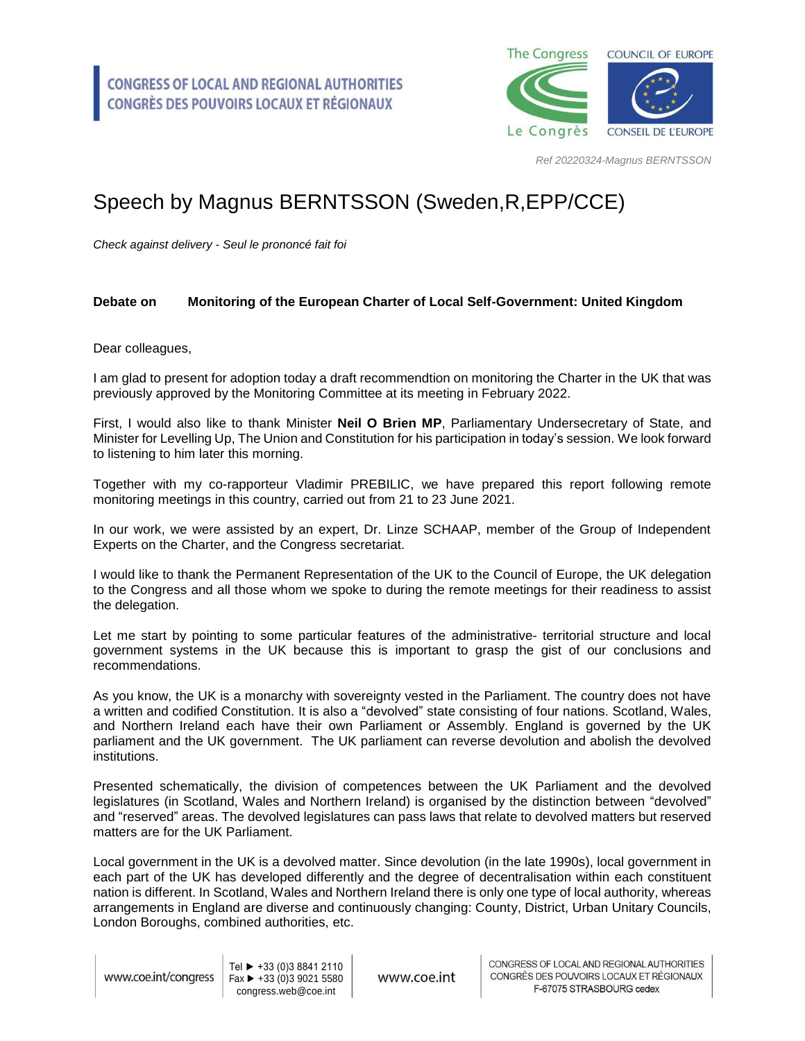

*Ref 20220324-Magnus BERNTSSON*

## Speech by Magnus BERNTSSON (Sweden,R,EPP/CCE)

*Check against delivery - Seul le prononcé fait foi*

## **Debate on Monitoring of the European Charter of Local Self-Government: United Kingdom**

Dear colleagues,

I am glad to present for adoption today a draft recommendtion on monitoring the Charter in the UK that was previously approved by the Monitoring Committee at its meeting in February 2022.

First, I would also like to thank Minister **Neil O Brien MP**, Parliamentary Undersecretary of State, and Minister for Levelling Up, The Union and Constitution for his participation in today's session. We look forward to listening to him later this morning.

Together with my co-rapporteur Vladimir PREBILIC, we have prepared this report following remote monitoring meetings in this country, carried out from 21 to 23 June 2021.

In our work, we were assisted by an expert, Dr. Linze SCHAAP, member of the Group of Independent Experts on the Charter, and the Congress secretariat.

I would like to thank the Permanent Representation of the UK to the Council of Europe, the UK delegation to the Congress and all those whom we spoke to during the remote meetings for their readiness to assist the delegation.

Let me start by pointing to some particular features of the administrative- territorial structure and local government systems in the UK because this is important to grasp the gist of our conclusions and recommendations.

As you know, the UK is a monarchy with sovereignty vested in the Parliament. The country does not have a written and codified Constitution. It is also a "devolved" state consisting of four nations. Scotland, Wales, and Northern Ireland each have their own Parliament or Assembly. England is governed by the UK parliament and the UK government. The UK parliament can reverse devolution and abolish the devolved institutions.

Presented schematically, the division of competences between the UK Parliament and the devolved legislatures (in Scotland, Wales and Northern Ireland) is organised by the distinction between "devolved" and "reserved" areas. The devolved legislatures can pass laws that relate to devolved matters but reserved matters are for the UK Parliament.

Local government in the UK is a devolved matter. Since devolution (in the late 1990s), local government in each part of the UK has developed differently and the degree of decentralisation within each constituent nation is different. In Scotland, Wales and Northern Ireland there is only one type of local authority, whereas arrangements in England are diverse and continuously changing: County, District, Urban Unitary Councils, London Boroughs, combined authorities, etc.

www.coe.int